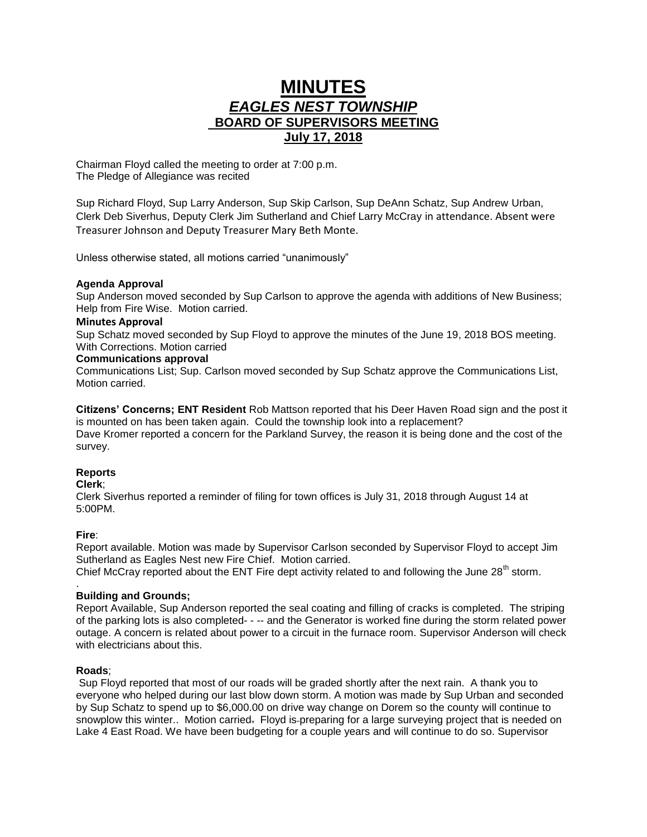# **MINUTES** *EAGLES NEST TOWNSHIP*  **BOARD OF SUPERVISORS MEETING July 17, 2018**

Chairman Floyd called the meeting to order at 7:00 p.m. The Pledge of Allegiance was recited

Sup Richard Floyd, Sup Larry Anderson, Sup Skip Carlson, Sup DeAnn Schatz, Sup Andrew Urban, Clerk Deb Siverhus, Deputy Clerk Jim Sutherland and Chief Larry McCray in attendance. Absent were Treasurer Johnson and Deputy Treasurer Mary Beth Monte.

Unless otherwise stated, all motions carried "unanimously"

## **Agenda Approval**

Sup Anderson moved seconded by Sup Carlson to approve the agenda with additions of New Business; Help from Fire Wise. Motion carried.

#### **Minutes Approval**

Sup Schatz moved seconded by Sup Floyd to approve the minutes of the June 19, 2018 BOS meeting. With Corrections. Motion carried

#### **Communications approval**

Communications List; Sup. Carlson moved seconded by Sup Schatz approve the Communications List, Motion carried.

**Citizens' Concerns; ENT Resident** Rob Mattson reported that his Deer Haven Road sign and the post it is mounted on has been taken again. Could the township look into a replacement? Dave Kromer reported a concern for the Parkland Survey, the reason it is being done and the cost of the survey.

## **Reports**

#### **Clerk**;

Clerk Siverhus reported a reminder of filing for town offices is July 31, 2018 through August 14 at 5:00PM.

## **Fire**:

Report available. Motion was made by Supervisor Carlson seconded by Supervisor Floyd to accept Jim Sutherland as Eagles Nest new Fire Chief. Motion carried.

Chief McCray reported about the ENT Fire dept activity related to and following the June 28<sup>th</sup> storm.

#### . **Building and Grounds;**

Report Available, Sup Anderson reported the seal coating and filling of cracks is completed. The striping of the parking lots is also completed- - -- and the Generator is worked fine during the storm related power outage. A concern is related about power to a circuit in the furnace room. Supervisor Anderson will check with electricians about this.

## **Roads**;

Sup Floyd reported that most of our roads will be graded shortly after the next rain. A thank you to everyone who helped during our last blow down storm. A motion was made by Sup Urban and seconded by Sup Schatz to spend up to \$6,000.00 on drive way change on Dorem so the county will continue to snowplow this winter.. Motion carried. Floyd is-preparing for a large surveying project that is needed on Lake 4 East Road. We have been budgeting for a couple years and will continue to do so. Supervisor